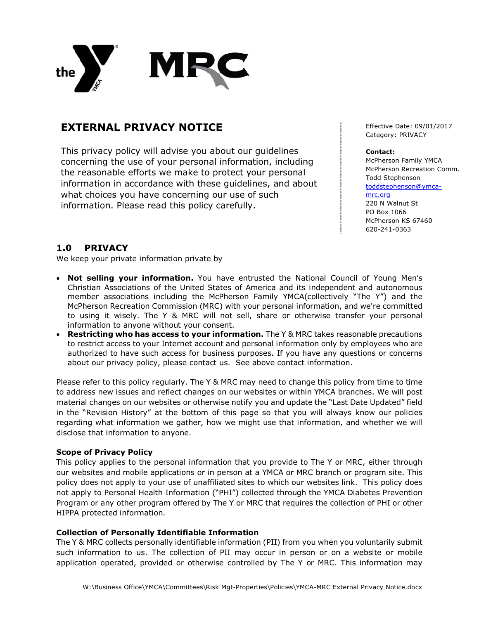

# **EXTERNAL PRIVACY NOTICE**

This privacy policy will advise you about our guidelines concerning the use of your personal information, including the reasonable efforts we make to protect your personal information in accordance with these guidelines, and about what choices you have concerning our use of such information. Please read this policy carefully.

Effective Date: 09/01/2017 Category: PRIVACY

#### **Contact:**

McPherson Family YMCA McPherson Recreation Comm. Todd Stephenson toddstephenson@ymcamrc.org 220 N Walnut St PO Box 1066 McPherson KS 67460 620-241-0363

## **1.0 PRIVACY**

We keep your private information private by

- **Not selling your information.** You have entrusted the National Council of Young Men's Christian Associations of the United States of America and its independent and autonomous member associations including the McPherson Family YMCA(collectively "The Y") and the McPherson Recreation Commission (MRC) with your personal information, and we're committed to using it wisely. The Y & MRC will not sell, share or otherwise transfer your personal information to anyone without your consent.
- **Restricting who has access to your information.** The Y & MRC takes reasonable precautions to restrict access to your Internet account and personal information only by employees who are authorized to have such access for business purposes. If you have any questions or concerns about our privacy policy, please contact us. See above contact information.

Please refer to this policy regularly. The Y & MRC may need to change this policy from time to time to address new issues and reflect changes on our websites or within YMCA branches. We will post material changes on our websites or otherwise notify you and update the "Last Date Updated" field in the "Revision History" at the bottom of this page so that you will always know our policies regarding what information we gather, how we might use that information, and whether we will disclose that information to anyone.

## **Scope of Privacy Policy**

This policy applies to the personal information that you provide to The Y or MRC, either through our websites and mobile applications or in person at a YMCA or MRC branch or program site. This policy does not apply to your use of unaffiliated sites to which our websites link. This policy does not apply to Personal Health Information ("PHI") collected through the YMCA Diabetes Prevention Program or any other program offered by The Y or MRC that requires the collection of PHI or other HIPPA protected information.

#### **Collection of Personally Identifiable Information**

The Y & MRC collects personally identifiable information (PII) from you when you voluntarily submit such information to us. The collection of PII may occur in person or on a website or mobile application operated, provided or otherwise controlled by The Y or MRC. This information may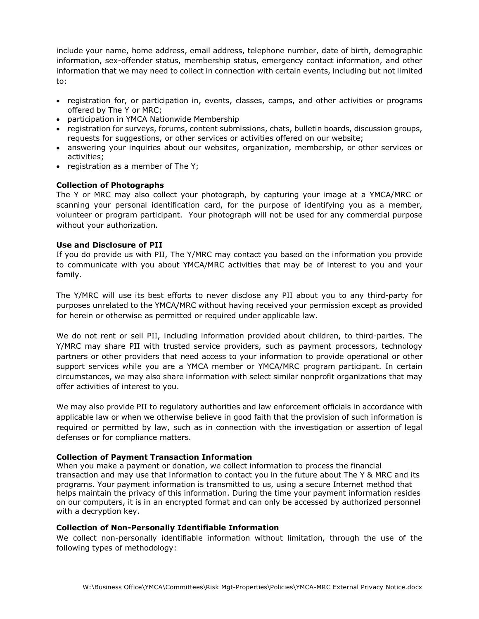include your name, home address, email address, telephone number, date of birth, demographic information, sex-offender status, membership status, emergency contact information, and other information that we may need to collect in connection with certain events, including but not limited to:

- registration for, or participation in, events, classes, camps, and other activities or programs offered by The Y or MRC;
- participation in YMCA Nationwide Membership
- registration for surveys, forums, content submissions, chats, bulletin boards, discussion groups, requests for suggestions, or other services or activities offered on our website;
- answering your inquiries about our websites, organization, membership, or other services or activities;
- registration as a member of The Y;

### **Collection of Photographs**

The Y or MRC may also collect your photograph, by capturing your image at a YMCA/MRC or scanning your personal identification card, for the purpose of identifying you as a member, volunteer or program participant. Your photograph will not be used for any commercial purpose without your authorization.

### **Use and Disclosure of PII**

If you do provide us with PII, The Y/MRC may contact you based on the information you provide to communicate with you about YMCA/MRC activities that may be of interest to you and your family.

The Y/MRC will use its best efforts to never disclose any PII about you to any third-party for purposes unrelated to the YMCA/MRC without having received your permission except as provided for herein or otherwise as permitted or required under applicable law.

We do not rent or sell PII, including information provided about children, to third-parties. The Y/MRC may share PII with trusted service providers, such as payment processors, technology partners or other providers that need access to your information to provide operational or other support services while you are a YMCA member or YMCA/MRC program participant. In certain circumstances, we may also share information with select similar nonprofit organizations that may offer activities of interest to you.

We may also provide PII to regulatory authorities and law enforcement officials in accordance with applicable law or when we otherwise believe in good faith that the provision of such information is required or permitted by law, such as in connection with the investigation or assertion of legal defenses or for compliance matters.

#### **Collection of Payment Transaction Information**

When you make a payment or donation, we collect information to process the financial transaction and may use that information to contact you in the future about The Y & MRC and its programs. Your payment information is transmitted to us, using a secure Internet method that helps maintain the privacy of this information. During the time your payment information resides on our computers, it is in an encrypted format and can only be accessed by authorized personnel with a decryption key.

#### **Collection of Non-Personally Identifiable Information**

We collect non-personally identifiable information without limitation, through the use of the following types of methodology: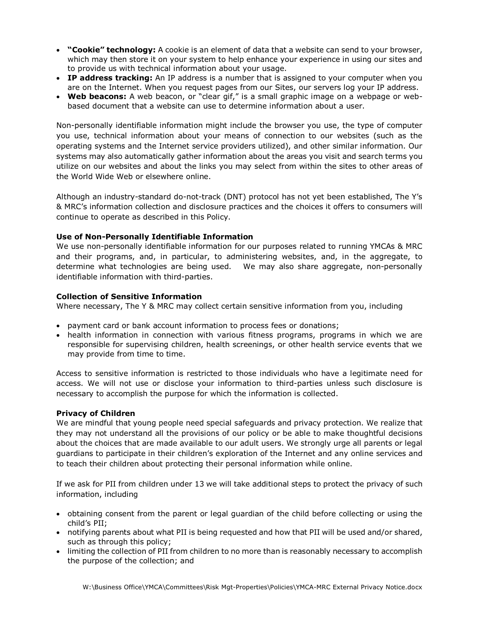- **"Cookie" technology:** A cookie is an element of data that a website can send to your browser, which may then store it on your system to help enhance your experience in using our sites and to provide us with technical information about your usage.
- **IP address tracking:** An IP address is a number that is assigned to your computer when you are on the Internet. When you request pages from our Sites, our servers log your IP address.
- Web beacons: A web beacon, or "clear gif," is a small graphic image on a webpage or webbased document that a website can use to determine information about a user.

Non-personally identifiable information might include the browser you use, the type of computer you use, technical information about your means of connection to our websites (such as the operating systems and the Internet service providers utilized), and other similar information. Our systems may also automatically gather information about the areas you visit and search terms you utilize on our websites and about the links you may select from within the sites to other areas of the World Wide Web or elsewhere online.

Although an industry-standard do-not-track (DNT) protocol has not yet been established, The Y's & MRC's information collection and disclosure practices and the choices it offers to consumers will continue to operate as described in this Policy.

## **Use of Non-Personally Identifiable Information**

We use non-personally identifiable information for our purposes related to running YMCAs & MRC and their programs, and, in particular, to administering websites, and, in the aggregate, to determine what technologies are being used. We may also share aggregate, non-personally identifiable information with third-parties.

## **Collection of Sensitive Information**

Where necessary, The Y & MRC may collect certain sensitive information from you, including

- payment card or bank account information to process fees or donations;
- health information in connection with various fitness programs, programs in which we are responsible for supervising children, health screenings, or other health service events that we may provide from time to time.

Access to sensitive information is restricted to those individuals who have a legitimate need for access. We will not use or disclose your information to third-parties unless such disclosure is necessary to accomplish the purpose for which the information is collected.

## **Privacy of Children**

We are mindful that young people need special safeguards and privacy protection. We realize that they may not understand all the provisions of our policy or be able to make thoughtful decisions about the choices that are made available to our adult users. We strongly urge all parents or legal guardians to participate in their children's exploration of the Internet and any online services and to teach their children about protecting their personal information while online.

If we ask for PII from children under 13 we will take additional steps to protect the privacy of such information, including

- obtaining consent from the parent or legal guardian of the child before collecting or using the child's PII;
- notifying parents about what PII is being requested and how that PII will be used and/or shared, such as through this policy;
- limiting the collection of PII from children to no more than is reasonably necessary to accomplish the purpose of the collection; and